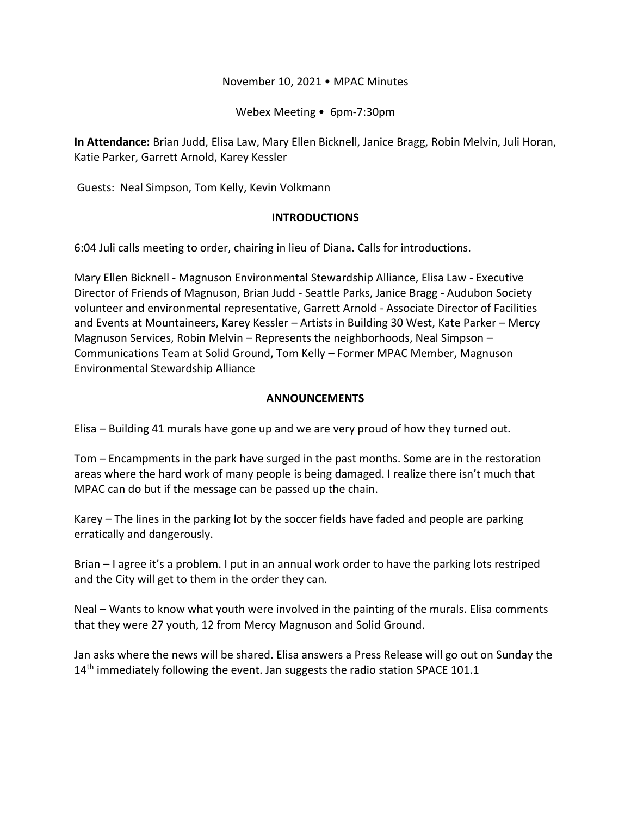### November 10, 2021 • MPAC Minutes

Webex Meeting • 6pm-7:30pm

**In Attendance:** Brian Judd, Elisa Law, Mary Ellen Bicknell, Janice Bragg, Robin Melvin, Juli Horan, Katie Parker, Garrett Arnold, Karey Kessler

Guests: Neal Simpson, Tom Kelly, Kevin Volkmann

### **INTRODUCTIONS**

6:04 Juli calls meeting to order, chairing in lieu of Diana. Calls for introductions.

Mary Ellen Bicknell - Magnuson Environmental Stewardship Alliance, Elisa Law - Executive Director of Friends of Magnuson, Brian Judd - Seattle Parks, Janice Bragg - Audubon Society volunteer and environmental representative, Garrett Arnold - Associate Director of Facilities and Events at Mountaineers, Karey Kessler – Artists in Building 30 West, Kate Parker – Mercy Magnuson Services, Robin Melvin – Represents the neighborhoods, Neal Simpson – Communications Team at Solid Ground, Tom Kelly – Former MPAC Member, Magnuson Environmental Stewardship Alliance

## **ANNOUNCEMENTS**

Elisa – Building 41 murals have gone up and we are very proud of how they turned out.

Tom – Encampments in the park have surged in the past months. Some are in the restoration areas where the hard work of many people is being damaged. I realize there isn't much that MPAC can do but if the message can be passed up the chain.

Karey – The lines in the parking lot by the soccer fields have faded and people are parking erratically and dangerously.

Brian – I agree it's a problem. I put in an annual work order to have the parking lots restriped and the City will get to them in the order they can.

Neal – Wants to know what youth were involved in the painting of the murals. Elisa comments that they were 27 youth, 12 from Mercy Magnuson and Solid Ground.

Jan asks where the news will be shared. Elisa answers a Press Release will go out on Sunday the  $14<sup>th</sup>$  immediately following the event. Jan suggests the radio station SPACE 101.1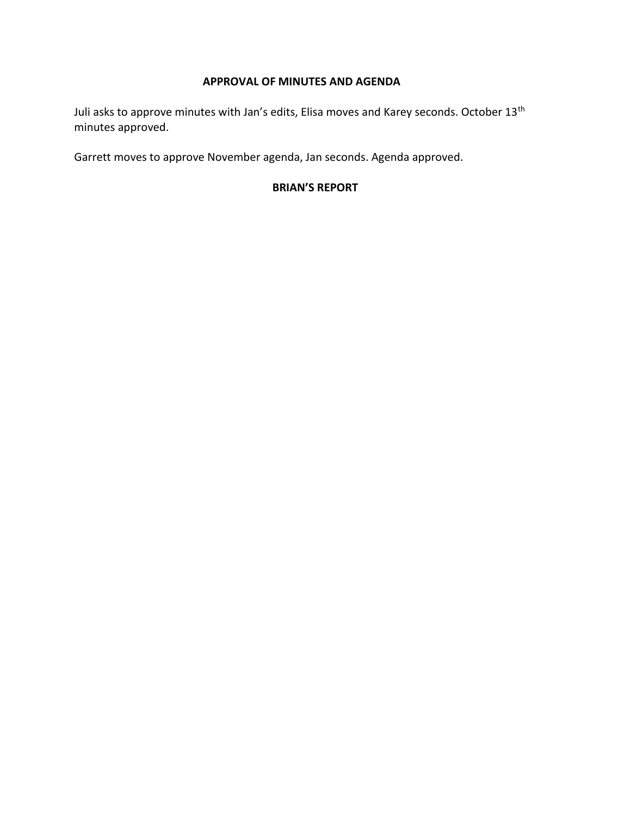### **APPROVAL OF MINUTES AND AGENDA**

Juli asks to approve minutes with Jan's edits, Elisa moves and Karey seconds. October 13<sup>th</sup> minutes approved.

Garrett moves to approve November agenda, Jan seconds. Agenda approved.

## **BRIAN'S REPORT**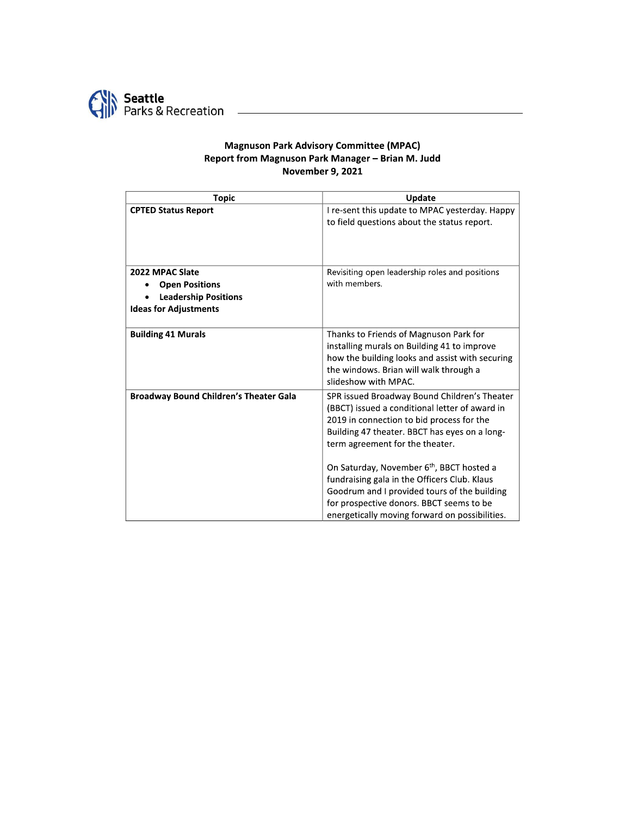

#### **Magnuson Park Advisory Committee (MPAC)** Report from Magnuson Park Manager - Brian M. Judd **November 9, 2021**

| <b>Topic</b>                                  | Update                                                                                         |
|-----------------------------------------------|------------------------------------------------------------------------------------------------|
| <b>CPTED Status Report</b>                    | I re-sent this update to MPAC yesterday. Happy                                                 |
|                                               | to field questions about the status report.                                                    |
| 2022 MPAC Slate                               | Revisiting open leadership roles and positions                                                 |
| <b>Open Positions</b>                         | with members.                                                                                  |
| <b>Leadership Positions</b>                   |                                                                                                |
| <b>Ideas for Adjustments</b>                  |                                                                                                |
| <b>Building 41 Murals</b>                     | Thanks to Friends of Magnuson Park for                                                         |
|                                               | installing murals on Building 41 to improve                                                    |
|                                               | how the building looks and assist with securing                                                |
|                                               | the windows. Brian will walk through a<br>slideshow with MPAC.                                 |
|                                               |                                                                                                |
| <b>Broadway Bound Children's Theater Gala</b> | SPR issued Broadway Bound Children's Theater<br>(BBCT) issued a conditional letter of award in |
|                                               | 2019 in connection to bid process for the                                                      |
|                                               | Building 47 theater. BBCT has eyes on a long-                                                  |
|                                               | term agreement for the theater.                                                                |
|                                               | On Saturday, November 6th, BBCT hosted a                                                       |
|                                               | fundraising gala in the Officers Club. Klaus                                                   |
|                                               | Goodrum and I provided tours of the building                                                   |
|                                               | for prospective donors. BBCT seems to be                                                       |
|                                               | energetically moving forward on possibilities.                                                 |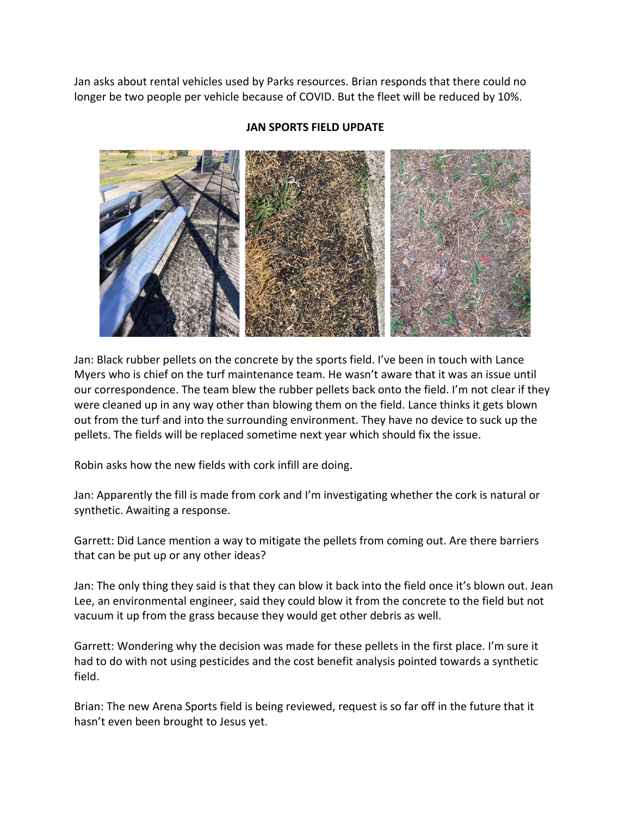Jan asks about rental vehicles used by Parks resources. Brian responds that there could no longer be two people per vehicle because of COVID. But the fleet will be reduced by 10%.



### **JAN SPORTS FIELD UPDATE**

Jan: Black rubber pellets on the concrete by the sports field. I've been in touch with Lance Myers who is chief on the turf maintenance team. He wasn't aware that it was an issue until our correspondence. The team blew the rubber pellets back onto the field. I'm not clear if they were cleaned up in any way other than blowing them on the field. Lance thinks it gets blown out from the turf and into the surrounding environment. They have no device to suck up the pellets. The fields will be replaced sometime next year which should fix the issue.

Robin asks how the new fields with cork infill are doing.

Jan: Apparently the fill is made from cork and I'm investigating whether the cork is natural or synthetic. Awaiting a response.

Garrett: Did Lance mention a way to mitigate the pellets from coming out. Are there barriers that can be put up or any other ideas?

Jan: The only thing they said is that they can blow it back into the field once it's blown out. Jean Lee, an environmental engineer, said they could blow it from the concrete to the field but not vacuum it up from the grass because they would get other debris as well.

Garrett: Wondering why the decision was made for these pellets in the first place. I'm sure it had to do with not using pesticides and the cost benefit analysis pointed towards a synthetic field.

Brian: The new Arena Sports field is being reviewed, request is so far off in the future that it hasn't even been brought to Jesus yet.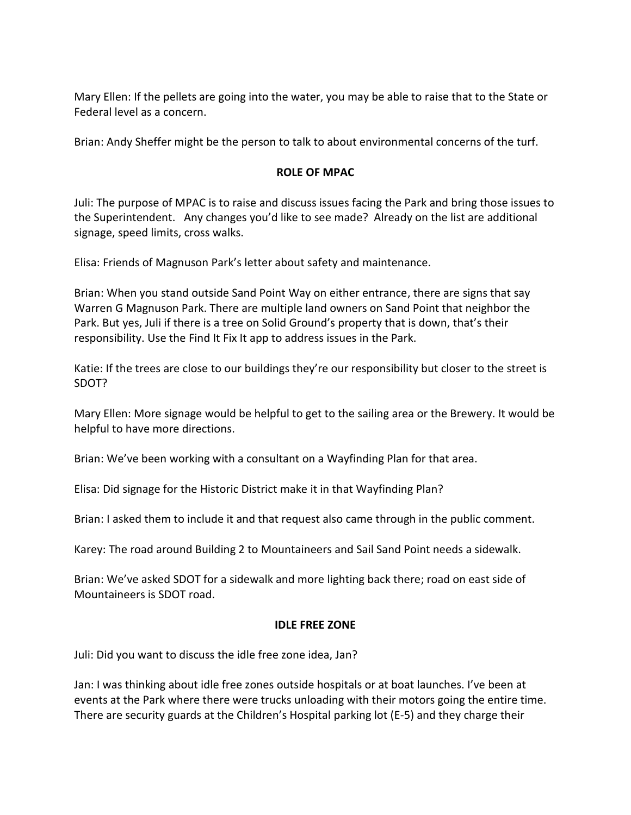Mary Ellen: If the pellets are going into the water, you may be able to raise that to the State or Federal level as a concern.

Brian: Andy Sheffer might be the person to talk to about environmental concerns of the turf.

### **ROLE OF MPAC**

Juli: The purpose of MPAC is to raise and discuss issues facing the Park and bring those issues to the Superintendent. Any changes you'd like to see made? Already on the list are additional signage, speed limits, cross walks.

Elisa: Friends of Magnuson Park's letter about safety and maintenance.

Brian: When you stand outside Sand Point Way on either entrance, there are signs that say Warren G Magnuson Park. There are multiple land owners on Sand Point that neighbor the Park. But yes, Juli if there is a tree on Solid Ground's property that is down, that's their responsibility. Use the Find It Fix It app to address issues in the Park.

Katie: If the trees are close to our buildings they're our responsibility but closer to the street is SDOT?

Mary Ellen: More signage would be helpful to get to the sailing area or the Brewery. It would be helpful to have more directions.

Brian: We've been working with a consultant on a Wayfinding Plan for that area.

Elisa: Did signage for the Historic District make it in that Wayfinding Plan?

Brian: I asked them to include it and that request also came through in the public comment.

Karey: The road around Building 2 to Mountaineers and Sail Sand Point needs a sidewalk.

Brian: We've asked SDOT for a sidewalk and more lighting back there; road on east side of Mountaineers is SDOT road.

#### **IDLE FREE ZONE**

Juli: Did you want to discuss the idle free zone idea, Jan?

Jan: I was thinking about idle free zones outside hospitals or at boat launches. I've been at events at the Park where there were trucks unloading with their motors going the entire time. There are security guards at the Children's Hospital parking lot (E-5) and they charge their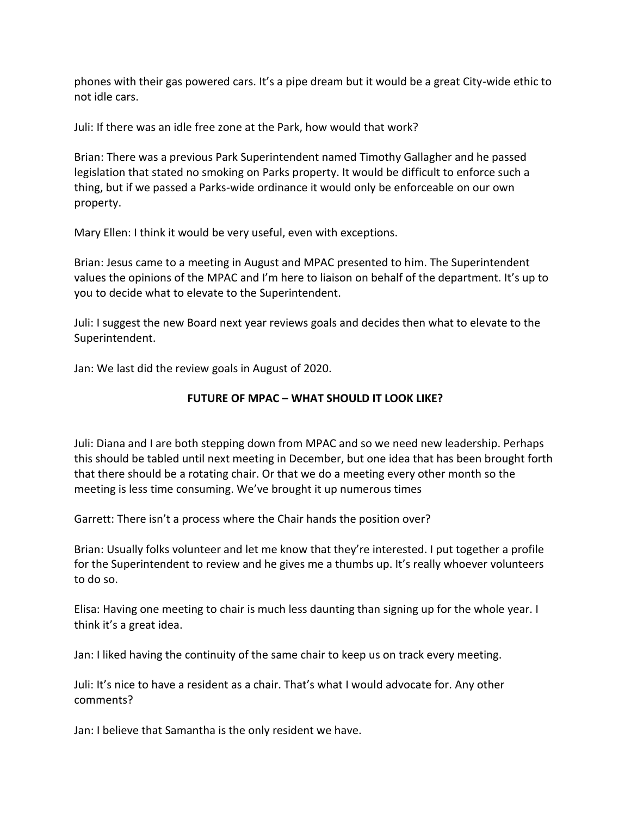phones with their gas powered cars. It's a pipe dream but it would be a great City-wide ethic to not idle cars.

Juli: If there was an idle free zone at the Park, how would that work?

Brian: There was a previous Park Superintendent named Timothy Gallagher and he passed legislation that stated no smoking on Parks property. It would be difficult to enforce such a thing, but if we passed a Parks-wide ordinance it would only be enforceable on our own property.

Mary Ellen: I think it would be very useful, even with exceptions.

Brian: Jesus came to a meeting in August and MPAC presented to him. The Superintendent values the opinions of the MPAC and I'm here to liaison on behalf of the department. It's up to you to decide what to elevate to the Superintendent.

Juli: I suggest the new Board next year reviews goals and decides then what to elevate to the Superintendent.

Jan: We last did the review goals in August of 2020.

# **FUTURE OF MPAC – WHAT SHOULD IT LOOK LIKE?**

Juli: Diana and I are both stepping down from MPAC and so we need new leadership. Perhaps this should be tabled until next meeting in December, but one idea that has been brought forth that there should be a rotating chair. Or that we do a meeting every other month so the meeting is less time consuming. We've brought it up numerous times

Garrett: There isn't a process where the Chair hands the position over?

Brian: Usually folks volunteer and let me know that they're interested. I put together a profile for the Superintendent to review and he gives me a thumbs up. It's really whoever volunteers to do so.

Elisa: Having one meeting to chair is much less daunting than signing up for the whole year. I think it's a great idea.

Jan: I liked having the continuity of the same chair to keep us on track every meeting.

Juli: It's nice to have a resident as a chair. That's what I would advocate for. Any other comments?

Jan: I believe that Samantha is the only resident we have.